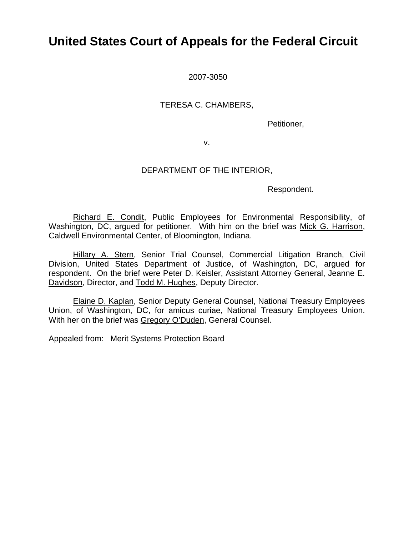# **United States Court of Appeals for the Federal Circuit**

2007-3050

### TERESA C. CHAMBERS,

Petitioner,

v.

## DEPARTMENT OF THE INTERIOR,

Respondent.

Richard E. Condit, Public Employees for Environmental Responsibility, of Washington, DC, argued for petitioner. With him on the brief was Mick G. Harrison, Caldwell Environmental Center, of Bloomington, Indiana.

Hillary A. Stern, Senior Trial Counsel, Commercial Litigation Branch, Civil Division, United States Department of Justice, of Washington, DC, argued for respondent. On the brief were Peter D. Keisler, Assistant Attorney General, Jeanne E. Davidson, Director, and Todd M. Hughes, Deputy Director.

Elaine D. Kaplan, Senior Deputy General Counsel, National Treasury Employees Union, of Washington, DC, for amicus curiae, National Treasury Employees Union. With her on the brief was Gregory O'Duden, General Counsel.

Appealed from: Merit Systems Protection Board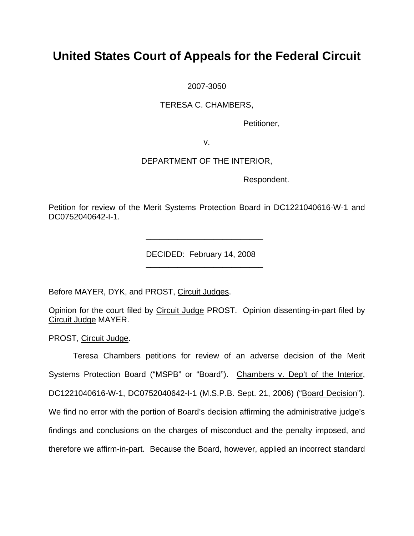# **United States Court of Appeals for the Federal Circuit**

2007-3050

TERESA C. CHAMBERS,

Petitioner,

v.

## DEPARTMENT OF THE INTERIOR,

Respondent.

Petition for review of the Merit Systems Protection Board in DC1221040616-W-1 and DC0752040642-I-1.

DECIDED: February 14, 2008

Before MAYER, DYK, and PROST, Circuit Judges.

 $\frac{1}{2}$  , and the set of the set of the set of the set of the set of the set of the set of the set of the set of the set of the set of the set of the set of the set of the set of the set of the set of the set of the set

 $\frac{1}{2}$  , and the set of the set of the set of the set of the set of the set of the set of the set of the set of the set of the set of the set of the set of the set of the set of the set of the set of the set of the set

Opinion for the court filed by Circuit Judge PROST. Opinion dissenting-in-part filed by Circuit Judge MAYER.

PROST, Circuit Judge.

Teresa Chambers petitions for review of an adverse decision of the Merit Systems Protection Board ("MSPB" or "Board"). Chambers v. Dep't of the Interior, DC1221040616-W-1, DC0752040642-I-1 (M.S.P.B. Sept. 21, 2006) ("Board Decision"). We find no error with the portion of Board's decision affirming the administrative judge's findings and conclusions on the charges of misconduct and the penalty imposed, and therefore we affirm-in-part. Because the Board, however, applied an incorrect standard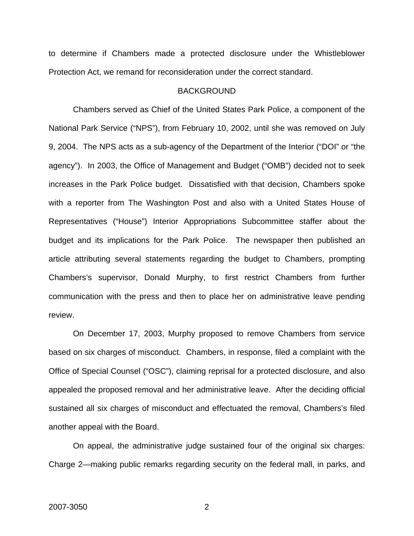to determine if Chambers made a protected disclosure under the Whistleblower Protection Act, we remand for reconsideration under the correct standard.

#### **BACKGROUND**

Chambers served as Chief of the United States Park Police, a component of the National Park Service ("NPS"), from February 10, 2002, until she was removed on July 9, 2004. The NPS acts as a sub-agency of the Department of the Interior ("DOI" or "the agency"). In 2003, the Office of Management and Budget ("OMB") decided not to seek increases in the Park Police budget. Dissatisfied with that decision, Chambers spoke with a reporter from The Washington Post and also with a United States House of Representatives ("House") Interior Appropriations Subcommittee staffer about the budget and its implications for the Park Police. The newspaper then published an article attributing several statements regarding the budget to Chambers, prompting Chambers's supervisor, Donald Murphy, to first restrict Chambers from further communication with the press and then to place her on administrative leave pending review.

On December 17, 2003, Murphy proposed to remove Chambers from service based on six charges of misconduct. Chambers, in response, filed a complaint with the Office of Special Counsel ("OSC"), claiming reprisal for a protected disclosure, and also appealed the proposed removal and her administrative leave. After the deciding official sustained all six charges of misconduct and effectuated the removal, Chambers's filed another appeal with the Board.

On appeal, the administrative judge sustained four of the original six charges: Charge 2—making public remarks regarding security on the federal mall, in parks, and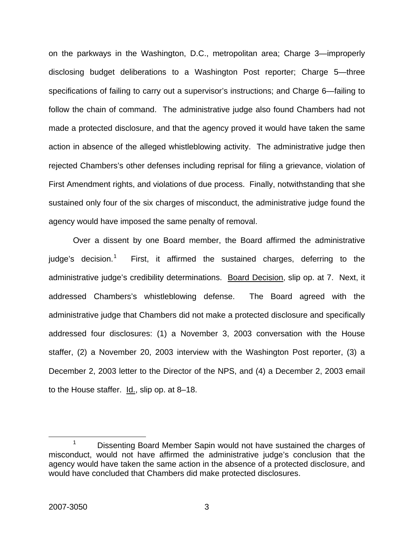on the parkways in the Washington, D.C., metropolitan area; Charge 3—improperly disclosing budget deliberations to a Washington Post reporter; Charge 5—three specifications of failing to carry out a supervisor's instructions; and Charge 6—failing to follow the chain of command. The administrative judge also found Chambers had not made a protected disclosure, and that the agency proved it would have taken the same action in absence of the alleged whistleblowing activity. The administrative judge then rejected Chambers's other defenses including reprisal for filing a grievance, violation of First Amendment rights, and violations of due process. Finally, notwithstanding that she sustained only four of the six charges of misconduct, the administrative judge found the agency would have imposed the same penalty of removal.

Over a dissent by one Board member, the Board affirmed the administrative judge's decision.<sup>[1](#page-3-0)</sup> First, it affirmed the sustained charges, deferring to the administrative judge's credibility determinations. Board Decision, slip op. at 7. Next, it addressed Chambers's whistleblowing defense. The Board agreed with the administrative judge that Chambers did not make a protected disclosure and specifically addressed four disclosures: (1) a November 3, 2003 conversation with the House staffer, (2) a November 20, 2003 interview with the Washington Post reporter, (3) a December 2, 2003 letter to the Director of the NPS, and (4) a December 2, 2003 email to the House staffer. Id., slip op. at 8–18.

<span id="page-3-0"></span> <sup>1</sup>  $1$  Dissenting Board Member Sapin would not have sustained the charges of misconduct, would not have affirmed the administrative judge's conclusion that the agency would have taken the same action in the absence of a protected disclosure, and would have concluded that Chambers did make protected disclosures.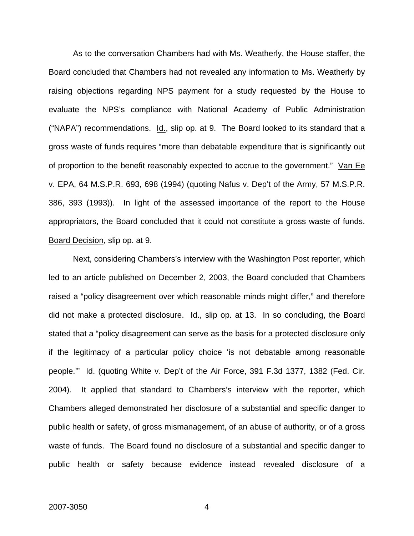As to the conversation Chambers had with Ms. Weatherly, the House staffer, the Board concluded that Chambers had not revealed any information to Ms. Weatherly by raising objections regarding NPS payment for a study requested by the House to evaluate the NPS's compliance with National Academy of Public Administration ("NAPA") recommendations.  $Id_{-1}$ , slip op. at 9. The Board looked to its standard that a gross waste of funds requires "more than debatable expenditure that is significantly out of proportion to the benefit reasonably expected to accrue to the government." Van Ee v. EPA, 64 M.S.P.R. 693, 698 (1994) (quoting Nafus v. Dep't of the Army, 57 M.S.P.R. 386, 393 (1993)). In light of the assessed importance of the report to the House appropriators, the Board concluded that it could not constitute a gross waste of funds. Board Decision, slip op. at 9.

Next, considering Chambers's interview with the Washington Post reporter, which led to an article published on December 2, 2003, the Board concluded that Chambers raised a "policy disagreement over which reasonable minds might differ," and therefore did not make a protected disclosure.  $Id.$ , slip op. at 13. In so concluding, the Board stated that a "policy disagreement can serve as the basis for a protected disclosure only if the legitimacy of a particular policy choice 'is not debatable among reasonable people.'" Id. (quoting White v. Dep't of the Air Force, 391 F.3d 1377, 1382 (Fed. Cir. 2004). It applied that standard to Chambers's interview with the reporter, which Chambers alleged demonstrated her disclosure of a substantial and specific danger to public health or safety, of gross mismanagement, of an abuse of authority, or of a gross waste of funds. The Board found no disclosure of a substantial and specific danger to public health or safety because evidence instead revealed disclosure of a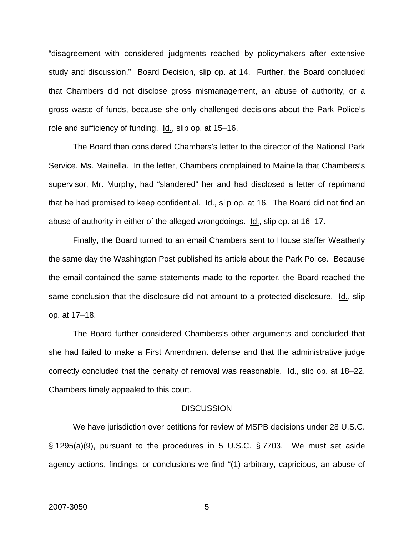"disagreement with considered judgments reached by policymakers after extensive study and discussion." Board Decision, slip op. at 14. Further, the Board concluded that Chambers did not disclose gross mismanagement, an abuse of authority, or a gross waste of funds, because she only challenged decisions about the Park Police's role and sufficiency of funding. Id., slip op. at 15–16.

The Board then considered Chambers's letter to the director of the National Park Service, Ms. Mainella. In the letter, Chambers complained to Mainella that Chambers's supervisor, Mr. Murphy, had "slandered" her and had disclosed a letter of reprimand that he had promised to keep confidential. Id., slip op. at 16. The Board did not find an abuse of authority in either of the alleged wrongdoings. Id., slip op. at 16–17.

Finally, the Board turned to an email Chambers sent to House staffer Weatherly the same day the Washington Post published its article about the Park Police. Because the email contained the same statements made to the reporter, the Board reached the same conclusion that the disclosure did not amount to a protected disclosure. Id., slip op. at 17–18.

The Board further considered Chambers's other arguments and concluded that she had failed to make a First Amendment defense and that the administrative judge correctly concluded that the penalty of removal was reasonable. Id., slip op. at 18–22. Chambers timely appealed to this court.

#### **DISCUSSION**

We have jurisdiction over petitions for review of MSPB decisions under 28 U.S.C. § 1295(a)(9), pursuant to the procedures in 5 U.S.C. § 7703. We must set aside agency actions, findings, or conclusions we find "(1) arbitrary, capricious, an abuse of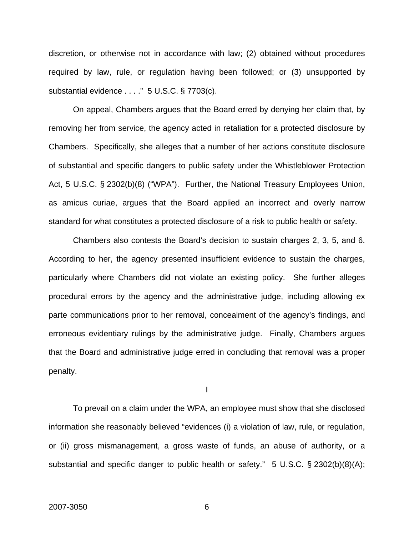discretion, or otherwise not in accordance with law; (2) obtained without procedures required by law, rule, or regulation having been followed; or (3) unsupported by substantial evidence . . . ." 5 U.S.C. § 7703(c).

On appeal, Chambers argues that the Board erred by denying her claim that, by removing her from service, the agency acted in retaliation for a protected disclosure by Chambers. Specifically, she alleges that a number of her actions constitute disclosure of substantial and specific dangers to public safety under the Whistleblower Protection Act, 5 U.S.C. § 2302(b)(8) ("WPA"). Further, the National Treasury Employees Union, as amicus curiae, argues that the Board applied an incorrect and overly narrow standard for what constitutes a protected disclosure of a risk to public health or safety.

Chambers also contests the Board's decision to sustain charges 2, 3, 5, and 6. According to her, the agency presented insufficient evidence to sustain the charges, particularly where Chambers did not violate an existing policy. She further alleges procedural errors by the agency and the administrative judge, including allowing ex parte communications prior to her removal, concealment of the agency's findings, and erroneous evidentiary rulings by the administrative judge. Finally, Chambers argues that the Board and administrative judge erred in concluding that removal was a proper penalty.

I

To prevail on a claim under the WPA, an employee must show that she disclosed information she reasonably believed "evidences (i) a violation of law, rule, or regulation, or (ii) gross mismanagement, a gross waste of funds, an abuse of authority, or a substantial and specific danger to public health or safety." 5 U.S.C. § 2302(b)(8)(A);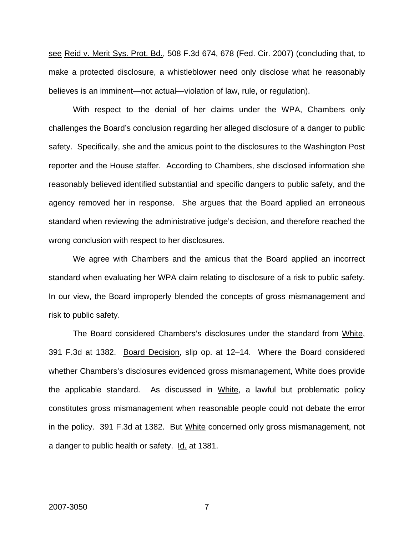see Reid v. Merit Sys. Prot. Bd., 508 F.3d 674, 678 (Fed. Cir. 2007) (concluding that, to make a protected disclosure, a whistleblower need only disclose what he reasonably believes is an imminent—not actual—violation of law, rule, or regulation).

With respect to the denial of her claims under the WPA, Chambers only challenges the Board's conclusion regarding her alleged disclosure of a danger to public safety. Specifically, she and the amicus point to the disclosures to the Washington Post reporter and the House staffer. According to Chambers, she disclosed information she reasonably believed identified substantial and specific dangers to public safety, and the agency removed her in response. She argues that the Board applied an erroneous standard when reviewing the administrative judge's decision, and therefore reached the wrong conclusion with respect to her disclosures.

We agree with Chambers and the amicus that the Board applied an incorrect standard when evaluating her WPA claim relating to disclosure of a risk to public safety. In our view, the Board improperly blended the concepts of gross mismanagement and risk to public safety.

The Board considered Chambers's disclosures under the standard from White, 391 F.3d at 1382. Board Decision, slip op. at 12–14. Where the Board considered whether Chambers's disclosures evidenced gross mismanagement, White does provide the applicable standard. As discussed in White, a lawful but problematic policy constitutes gross mismanagement when reasonable people could not debate the error in the policy. 391 F.3d at 1382. But White concerned only gross mismanagement, not a danger to public health or safety. Id. at 1381.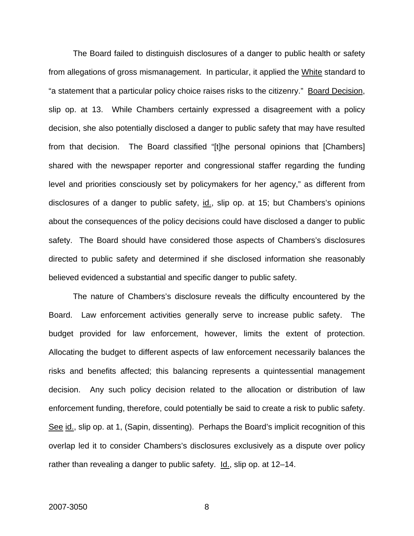The Board failed to distinguish disclosures of a danger to public health or safety from allegations of gross mismanagement. In particular, it applied the White standard to "a statement that a particular policy choice raises risks to the citizenry." Board Decision, slip op. at 13. While Chambers certainly expressed a disagreement with a policy decision, she also potentially disclosed a danger to public safety that may have resulted from that decision. The Board classified "[t]he personal opinions that [Chambers] shared with the newspaper reporter and congressional staffer regarding the funding level and priorities consciously set by policymakers for her agency," as different from disclosures of a danger to public safety, id., slip op. at 15; but Chambers's opinions about the consequences of the policy decisions could have disclosed a danger to public safety. The Board should have considered those aspects of Chambers's disclosures directed to public safety and determined if she disclosed information she reasonably believed evidenced a substantial and specific danger to public safety.

The nature of Chambers's disclosure reveals the difficulty encountered by the Board. Law enforcement activities generally serve to increase public safety. The budget provided for law enforcement, however, limits the extent of protection. Allocating the budget to different aspects of law enforcement necessarily balances the risks and benefits affected; this balancing represents a quintessential management decision. Any such policy decision related to the allocation or distribution of law enforcement funding, therefore, could potentially be said to create a risk to public safety. See id., slip op. at 1, (Sapin, dissenting). Perhaps the Board's implicit recognition of this overlap led it to consider Chambers's disclosures exclusively as a dispute over policy rather than revealing a danger to public safety. Id., slip op. at 12–14.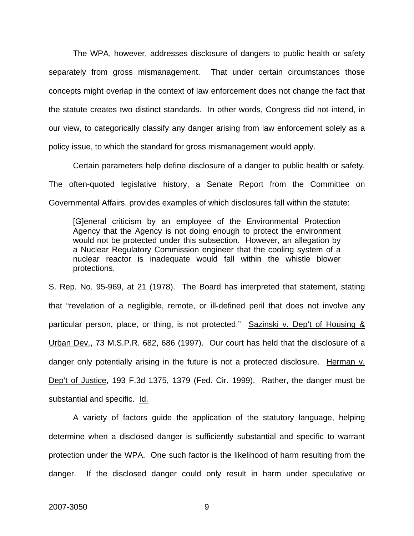The WPA, however, addresses disclosure of dangers to public health or safety separately from gross mismanagement. That under certain circumstances those concepts might overlap in the context of law enforcement does not change the fact that the statute creates two distinct standards. In other words, Congress did not intend, in our view, to categorically classify any danger arising from law enforcement solely as a policy issue, to which the standard for gross mismanagement would apply.

Certain parameters help define disclosure of a danger to public health or safety. The often-quoted legislative history, a Senate Report from the Committee on Governmental Affairs, provides examples of which disclosures fall within the statute:

[G]eneral criticism by an employee of the Environmental Protection Agency that the Agency is not doing enough to protect the environment would not be protected under this subsection. However, an allegation by a Nuclear Regulatory Commission engineer that the cooling system of a nuclear reactor is inadequate would fall within the whistle blower protections.

S. Rep. No. 95-969, at 21 (1978). The Board has interpreted that statement, stating that "revelation of a negligible, remote, or ill-defined peril that does not involve any particular person, place, or thing, is not protected." Sazinski v. Dep't of Housing & Urban Dev., 73 M.S.P.R. 682, 686 (1997). Our court has held that the disclosure of a danger only potentially arising in the future is not a protected disclosure. Herman v. Dep't of Justice, 193 F.3d 1375, 1379 (Fed. Cir. 1999). Rather, the danger must be substantial and specific. Id.

A variety of factors guide the application of the statutory language, helping determine when a disclosed danger is sufficiently substantial and specific to warrant protection under the WPA. One such factor is the likelihood of harm resulting from the danger. If the disclosed danger could only result in harm under speculative or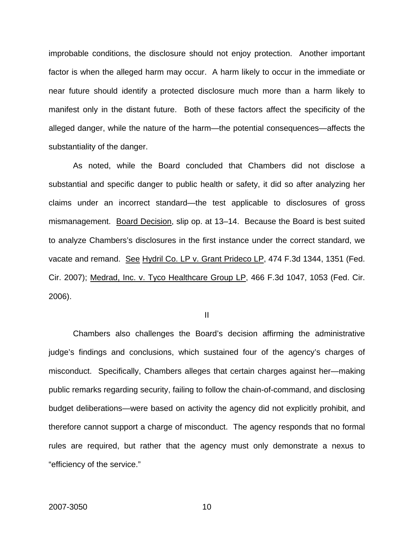improbable conditions, the disclosure should not enjoy protection. Another important factor is when the alleged harm may occur. A harm likely to occur in the immediate or near future should identify a protected disclosure much more than a harm likely to manifest only in the distant future. Both of these factors affect the specificity of the alleged danger, while the nature of the harm—the potential consequences—affects the substantiality of the danger.

As noted, while the Board concluded that Chambers did not disclose a substantial and specific danger to public health or safety, it did so after analyzing her claims under an incorrect standard—the test applicable to disclosures of gross mismanagement. Board Decision, slip op. at 13–14. Because the Board is best suited to analyze Chambers's disclosures in the first instance under the correct standard, we vacate and remand. See Hydril Co. LP v. Grant Prideco LP, 474 F.3d 1344, 1351 (Fed. Cir. 2007); Medrad, Inc. v. Tyco Healthcare Group LP, 466 F.3d 1047, 1053 (Fed. Cir. 2006).

II

Chambers also challenges the Board's decision affirming the administrative judge's findings and conclusions, which sustained four of the agency's charges of misconduct. Specifically, Chambers alleges that certain charges against her—making public remarks regarding security, failing to follow the chain-of-command, and disclosing budget deliberations—were based on activity the agency did not explicitly prohibit, and therefore cannot support a charge of misconduct. The agency responds that no formal rules are required, but rather that the agency must only demonstrate a nexus to "efficiency of the service."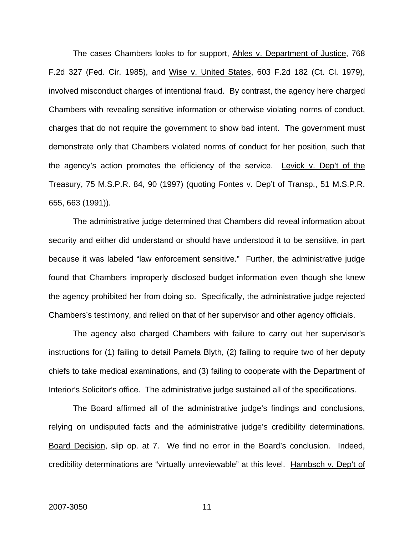The cases Chambers looks to for support, Ahles v. Department of Justice, 768 F.2d 327 (Fed. Cir. 1985), and Wise v. United States, 603 F.2d 182 (Ct. Cl. 1979), involved misconduct charges of intentional fraud. By contrast, the agency here charged Chambers with revealing sensitive information or otherwise violating norms of conduct, charges that do not require the government to show bad intent. The government must demonstrate only that Chambers violated norms of conduct for her position, such that the agency's action promotes the efficiency of the service. Levick v. Dep't of the Treasury, 75 M.S.P.R. 84, 90 (1997) (quoting Fontes v. Dep't of Transp., 51 M.S.P.R. 655, 663 (1991)).

The administrative judge determined that Chambers did reveal information about security and either did understand or should have understood it to be sensitive, in part because it was labeled "law enforcement sensitive." Further, the administrative judge found that Chambers improperly disclosed budget information even though she knew the agency prohibited her from doing so. Specifically, the administrative judge rejected Chambers's testimony, and relied on that of her supervisor and other agency officials.

The agency also charged Chambers with failure to carry out her supervisor's instructions for (1) failing to detail Pamela Blyth, (2) failing to require two of her deputy chiefs to take medical examinations, and (3) failing to cooperate with the Department of Interior's Solicitor's office. The administrative judge sustained all of the specifications.

The Board affirmed all of the administrative judge's findings and conclusions, relying on undisputed facts and the administrative judge's credibility determinations. Board Decision, slip op. at 7. We find no error in the Board's conclusion. Indeed, credibility determinations are "virtually unreviewable" at this level. Hambsch v. Dep't of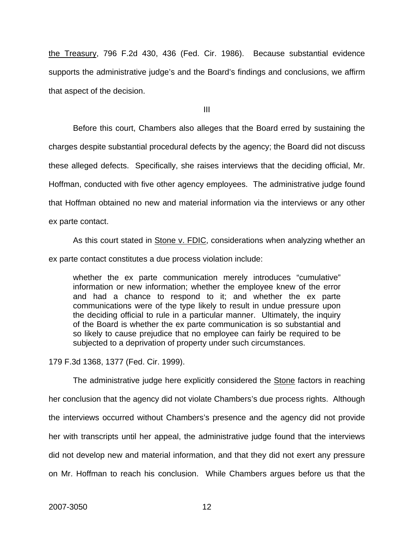the Treasury, 796 F.2d 430, 436 (Fed. Cir. 1986). Because substantial evidence supports the administrative judge's and the Board's findings and conclusions, we affirm that aspect of the decision.

III

Before this court, Chambers also alleges that the Board erred by sustaining the charges despite substantial procedural defects by the agency; the Board did not discuss these alleged defects. Specifically, she raises interviews that the deciding official, Mr. Hoffman, conducted with five other agency employees. The administrative judge found that Hoffman obtained no new and material information via the interviews or any other ex parte contact.

As this court stated in Stone v. FDIC, considerations when analyzing whether an ex parte contact constitutes a due process violation include:

whether the ex parte communication merely introduces "cumulative" information or new information; whether the employee knew of the error and had a chance to respond to it; and whether the ex parte communications were of the type likely to result in undue pressure upon the deciding official to rule in a particular manner. Ultimately, the inquiry of the Board is whether the ex parte communication is so substantial and so likely to cause prejudice that no employee can fairly be required to be subjected to a deprivation of property under such circumstances.

179 F.3d 1368, 1377 (Fed. Cir. 1999).

 The administrative judge here explicitly considered the Stone factors in reaching her conclusion that the agency did not violate Chambers's due process rights. Although the interviews occurred without Chambers's presence and the agency did not provide her with transcripts until her appeal, the administrative judge found that the interviews did not develop new and material information, and that they did not exert any pressure on Mr. Hoffman to reach his conclusion. While Chambers argues before us that the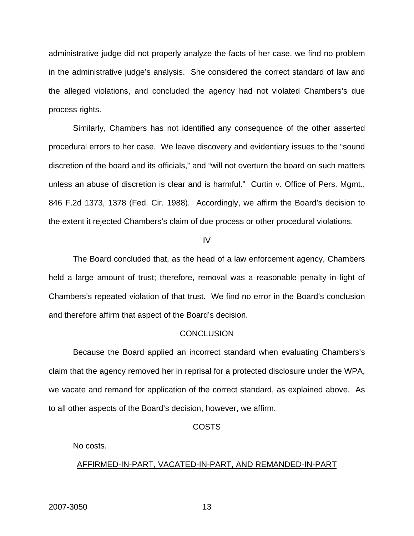administrative judge did not properly analyze the facts of her case, we find no problem in the administrative judge's analysis. She considered the correct standard of law and the alleged violations, and concluded the agency had not violated Chambers's due process rights.

Similarly, Chambers has not identified any consequence of the other asserted procedural errors to her case. We leave discovery and evidentiary issues to the "sound discretion of the board and its officials," and "will not overturn the board on such matters unless an abuse of discretion is clear and is harmful." Curtin v. Office of Pers. Mgmt., 846 F.2d 1373, 1378 (Fed. Cir. 1988). Accordingly, we affirm the Board's decision to the extent it rejected Chambers's claim of due process or other procedural violations.

IV

The Board concluded that, as the head of a law enforcement agency, Chambers held a large amount of trust; therefore, removal was a reasonable penalty in light of Chambers's repeated violation of that trust. We find no error in the Board's conclusion and therefore affirm that aspect of the Board's decision.

#### **CONCLUSION**

Because the Board applied an incorrect standard when evaluating Chambers's claim that the agency removed her in reprisal for a protected disclosure under the WPA, we vacate and remand for application of the correct standard, as explained above. As to all other aspects of the Board's decision, however, we affirm.

#### COSTS

No costs.

#### AFFIRMED-IN-PART, VACATED-IN-PART, AND REMANDED-IN-PART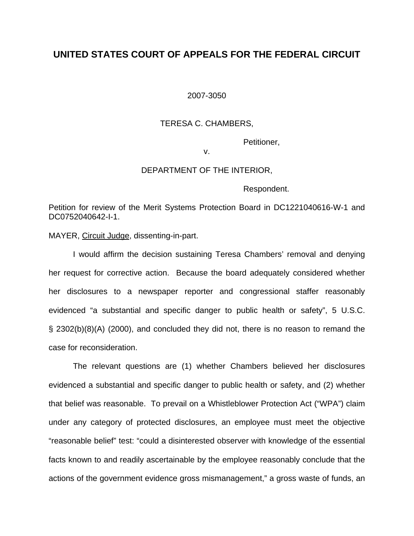## **UNITED STATES COURT OF APPEALS FOR THE FEDERAL CIRCUIT**

2007-3050

### TERESA C. CHAMBERS,

Petitioner,

v.

#### DEPARTMENT OF THE INTERIOR,

Respondent.

Petition for review of the Merit Systems Protection Board in DC1221040616-W-1 and DC0752040642-I-1.

MAYER, Circuit Judge, dissenting-in-part.

 I would affirm the decision sustaining Teresa Chambers' removal and denying her request for corrective action. Because the board adequately considered whether her disclosures to a newspaper reporter and congressional staffer reasonably evidenced "a substantial and specific danger to public health or safety", 5 U.S.C. § 2302(b)(8)(A) (2000), and concluded they did not, there is no reason to remand the case for reconsideration.

 The relevant questions are (1) whether Chambers believed her disclosures evidenced a substantial and specific danger to public health or safety, and (2) whether that belief was reasonable. To prevail on a Whistleblower Protection Act ("WPA") claim under any category of protected disclosures, an employee must meet the objective "reasonable belief" test: "could a disinterested observer with knowledge of the essential facts known to and readily ascertainable by the employee reasonably conclude that the actions of the government evidence gross mismanagement," a gross waste of funds, an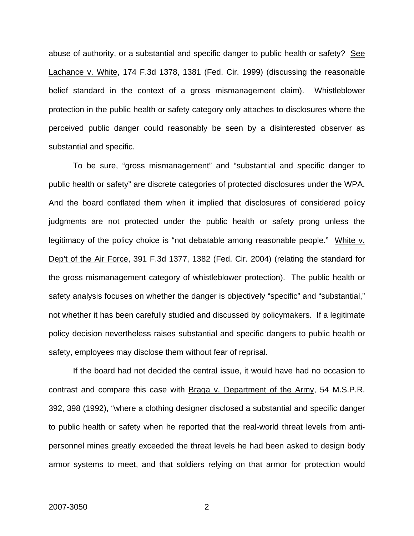abuse of authority, or a substantial and specific danger to public health or safety? See Lachance v. White, 174 F.3d 1378, 1381 (Fed. Cir. 1999) (discussing the reasonable belief standard in the context of a gross mismanagement claim). Whistleblower protection in the public health or safety category only attaches to disclosures where the perceived public danger could reasonably be seen by a disinterested observer as substantial and specific.

 To be sure, "gross mismanagement" and "substantial and specific danger to public health or safety" are discrete categories of protected disclosures under the WPA. And the board conflated them when it implied that disclosures of considered policy judgments are not protected under the public health or safety prong unless the legitimacy of the policy choice is "not debatable among reasonable people." White v. Dep't of the Air Force, 391 F.3d 1377, 1382 (Fed. Cir. 2004) (relating the standard for the gross mismanagement category of whistleblower protection). The public health or safety analysis focuses on whether the danger is objectively "specific" and "substantial," not whether it has been carefully studied and discussed by policymakers. If a legitimate policy decision nevertheless raises substantial and specific dangers to public health or safety, employees may disclose them without fear of reprisal.

If the board had not decided the central issue, it would have had no occasion to contrast and compare this case with Braga v. Department of the Army, 54 M.S.P.R. 392, 398 (1992), "where a clothing designer disclosed a substantial and specific danger to public health or safety when he reported that the real-world threat levels from antipersonnel mines greatly exceeded the threat levels he had been asked to design body armor systems to meet, and that soldiers relying on that armor for protection would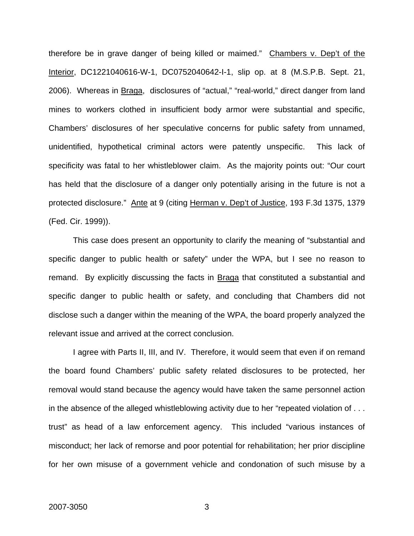therefore be in grave danger of being killed or maimed." Chambers v. Dep't of the Interior, DC1221040616-W-1, DC0752040642-I-1, slip op. at 8 (M.S.P.B. Sept. 21, 2006). Whereas in Braga, disclosures of "actual," "real-world," direct danger from land mines to workers clothed in insufficient body armor were substantial and specific, Chambers' disclosures of her speculative concerns for public safety from unnamed, unidentified, hypothetical criminal actors were patently unspecific. This lack of specificity was fatal to her whistleblower claim. As the majority points out: "Our court has held that the disclosure of a danger only potentially arising in the future is not a protected disclosure." Ante at 9 (citing Herman v. Dep't of Justice, 193 F.3d 1375, 1379 (Fed. Cir. 1999)).

This case does present an opportunity to clarify the meaning of "substantial and specific danger to public health or safety" under the WPA, but I see no reason to remand. By explicitly discussing the facts in Braga that constituted a substantial and specific danger to public health or safety, and concluding that Chambers did not disclose such a danger within the meaning of the WPA, the board properly analyzed the relevant issue and arrived at the correct conclusion.

I agree with Parts II, III, and IV. Therefore, it would seem that even if on remand the board found Chambers' public safety related disclosures to be protected, her removal would stand because the agency would have taken the same personnel action in the absence of the alleged whistleblowing activity due to her "repeated violation of . . . trust" as head of a law enforcement agency. This included "various instances of misconduct; her lack of remorse and poor potential for rehabilitation; her prior discipline for her own misuse of a government vehicle and condonation of such misuse by a